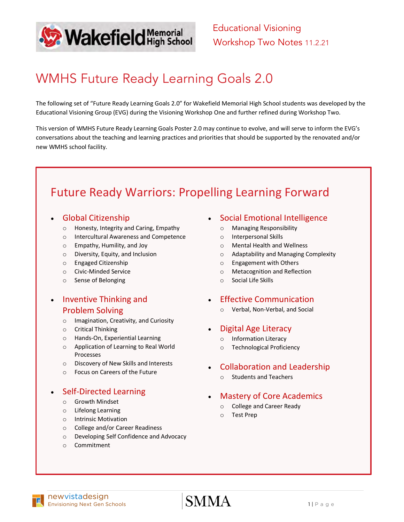

Educational Visioning Workshop Two Notes 11.2.21

## WMHS Future Ready Learning Goals 2.0

The following set of "Future Ready Learning Goals 2.0" for Wakefield Memorial High School students was developed by the Educational Visioning Group (EVG) during the Visioning Workshop One and further refined during Workshop Two.

This version of WMHS Future Ready Learning Goals Poster 2.0 may continue to evolve, and will serve to inform the EVG's conversations about the teaching and learning practices and priorities that should be supported by the renovated and/or new WMHS school facility.

## Future Ready Warriors: Propelling Learning Forward

### • Global Citizenship

- o Honesty, Integrity and Caring, Empathy
- o Intercultural Awareness and Competence
- o Empathy, Humility, and Joy
- o Diversity, Equity, and Inclusion
- o Engaged Citizenship
- o Civic-Minded Service
- o Sense of Belonging

### • Inventive Thinking and Problem Solving

- o Imagination, Creativity, and Curiosity
- o Critical Thinking
- o Hands-On, Experiential Learning
- o Application of Learning to Real World Processes
- o Discovery of New Skills and Interests
- o Focus on Careers of the Future

### • Self-Directed Learning

- o Growth Mindset
- o Lifelong Learning
- o Intrinsic Motivation
- o College and/or Career Readiness
- o Developing Self Confidence and Advocacy
- o Commitment
- Social Emotional Intelligence
	- o Managing Responsibility
	- o Interpersonal Skills
	- o Mental Health and Wellness
	- o Adaptability and Managing Complexity
	- o Engagement with Others
	- o Metacognition and Reflection
	- o Social Life Skills
- Effective Communication
	- o Verbal, Non-Verbal, and Social
- Digital Age Literacy
	- o Information Literacy
	- o Technological Proficiency
- Collaboration and Leadership
	- o Students and Teachers

### • Mastery of Core Academics

- o College and Career Ready
- o Test Prep

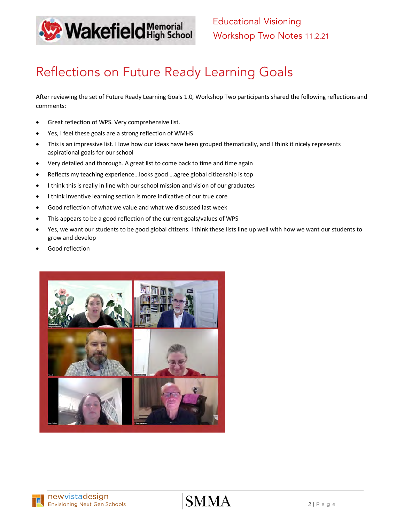

# Reflections on Future Ready Learning Goals

After reviewing the set of Future Ready Learning Goals 1.0, Workshop Two participants shared the following reflections and comments:

- Great reflection of WPS. Very comprehensive list.
- Yes, I feel these goals are a strong reflection of WMHS
- This is an impressive list. I love how our ideas have been grouped thematically, and I think it nicely represents aspirational goals for our school
- Very detailed and thorough. A great list to come back to time and time again
- Reflects my teaching experience…looks good …agree global citizenship is top
- I think this is really in line with our school mission and vision of our graduates
- I think inventive learning section is more indicative of our true core
- Good reflection of what we value and what we discussed last week
- This appears to be a good reflection of the current goals/values of WPS
- Yes, we want our students to be good global citizens. I think these lists line up well with how we want our students to grow and develop
- Good reflection

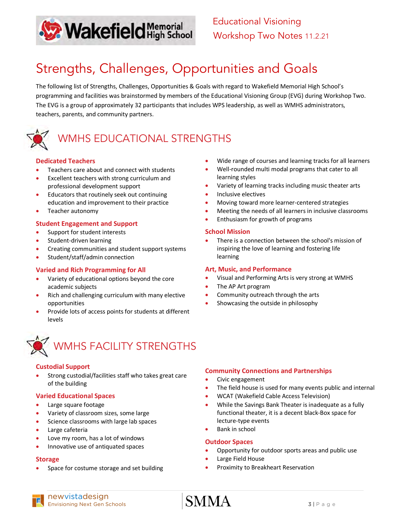

# Strengths, Challenges, Opportunities and Goals

The following list of Strengths, Challenges, Opportunities & Goals with regard to Wakefield Memorial High School's programming and facilities was brainstormed by members of the Educational Visioning Group (EVG) during Workshop Two. The EVG is a group of approximately 32 participants that includes WPS leadership, as well as WMHS administrators, teachers, parents, and community partners.



## WMHS EDUCATIONAL STRENGTHS

#### **Dedicated Teachers**

- Teachers care about and connect with students
- Excellent teachers with strong curriculum and professional development support
- Educators that routinely seek out continuing education and improvement to their practice
- Teacher autonomy

#### **Student Engagement and Support**

- Support for student interests
- Student-driven learning
- Creating communities and student support systems
- Student/staff/admin connection

#### **Varied and Rich Programming for All**

- Variety of educational options beyond the core academic subjects
- Rich and challenging curriculum with many elective opportunities
- Provide lots of access points for students at different levels



# $\frac{3}{1}$  WMHS FACILITY STRENGTHS

#### **Custodial Support**

Strong custodial/facilities staff who takes great care of the building

#### **Varied Educational Spaces**

- Large square footage
- Variety of classroom sizes, some large
- Science classrooms with large lab spaces
- Large cafeteria
- Love my room, has a lot of windows
- Innovative use of antiquated spaces

#### **Storage**

Space for costume storage and set building

- Wide range of courses and learning tracks for all learners
- Well-rounded multi modal programs that cater to all learning styles
- Variety of learning tracks including music theater arts
- Inclusive electives
- Moving toward more learner-centered strategies
- Meeting the needs of all learners in inclusive classrooms
- Enthusiasm for growth of programs

#### **School Mission**

There is a connection between the school's mission of inspiring the love of learning and fostering life learning

#### **Art, Music, and Performance**

- Visual and Performing Arts is very strong at WMHS
- The AP Art program
- Community outreach through the arts
- Showcasing the outside in philosophy

#### **Community Connections and Partnerships**

- Civic engagement
- The field house is used for many events public and internal
- WCAT (Wakefield Cable Access Television)
- While the Savings Bank Theater is inadequate as a fully functional theater, it is a decent black-Box space for lecture-type events
- Bank in school

#### **Outdoor Spaces**

- Opportunity for outdoor sports areas and public use
- Large Field House
- Proximity to Breakheart Reservation

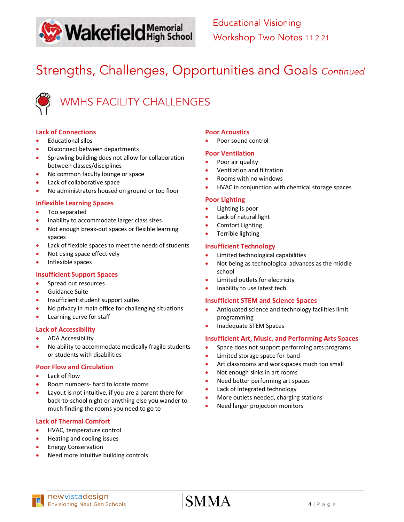

# Strengths, Challenges, Opportunities and Goals *Continued*



#### **Lack of Connections**

- Educational silos
- Disconnect between departments
- Sprawling building does not allow for collaboration between classes/disciplines
- No common faculty lounge or space
- Lack of collaborative space
- No administrators housed on ground or top floor

#### **Inflexible Learning Spaces**

- Too separated
- Inability to accommodate larger class sizes
- Not enough break-out spaces or flexible learning spaces
- Lack of flexible spaces to meet the needs of students
- Not using space effectively
- Inflexible spaces

#### **Insufficient Support Spaces**

- Spread out resources
- Guidance Suite
- Insufficient student support suites
- No privacy in main office for challenging situations
- Learning curve for staff

#### **Lack of Accessibility**

- ADA Accessibility
- No ability to accommodate medically fragile students or students with disabilities

#### **Poor Flow and Circulation**

- Lack of flow
- Room numbers- hard to locate rooms
- Layout is not intuitive, if you are a parent there for back-to-school night or anything else you wander to much finding the rooms you need to go to

#### **Lack of Thermal Comfort**

- HVAC, temperature control
- Heating and cooling issues
- Energy Conservation
- Need more intuitive building controls

#### **Poor Acoustics**

• Poor sound control

#### **Poor Ventilation**

- Poor air quality
- Ventilation and filtration
- Rooms with no windows
- HVAC in conjunction with chemical storage spaces

#### **Poor Lighting**

- Lighting is poor
- Lack of natural light
- Comfort Lighting
- Terrible lighting

#### **Insufficient Technology**

- Limited technological capabilities
- Not being as technological advances as the middle school
- Limited outlets for electricity
- Inability to use latest tech

#### **Insufficient STEM and Science Spaces**

- Antiquated science and technology facilities limit programming
- Inadequate STEM Spaces

#### **Insufficient Art, Music, and Performing Arts Spaces**

- Space does not support performing arts programs
- Limited storage space for band
- Art classrooms and workspaces much too small
- Not enough sinks in art rooms
- Need better performing art spaces
- Lack of integrated technology
- More outlets needed, charging stations
- Need larger projection monitors

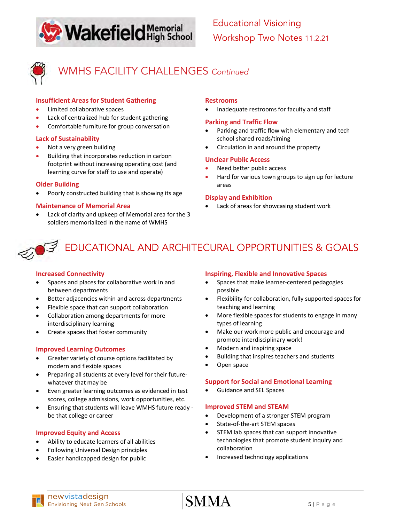



WMHS FACILITY CHALLENGES *Continued*

#### **Insufficient Areas for Student Gathering**

- Limited collaborative spaces
- Lack of centralized hub for student gathering
- Comfortable furniture for group conversation

#### **Lack of Sustainability**

- Not a very green building
- Building that incorporates reduction in carbon footprint without increasing operating cost (and learning curve for staff to use and operate)

#### **Older Building**

• Poorly constructed building that is showing its age

#### **Maintenance of Memorial Area**

• Lack of clarity and upkeep of Memorial area for the 3 soldiers memorialized in the name of WMHS

#### **Restrooms**

• Inadequate restrooms for faculty and staff

#### **Parking and Traffic Flow**

- Parking and traffic flow with elementary and tech school shared roads/timing
- Circulation in and around the property

#### **Unclear Public Access**

- Need better public access
- Hard for various town groups to sign up for lecture areas

#### **Display and Exhibition**

Lack of areas for showcasing student work

## EDUCATIONAL AND ARCHITECURAL OPPORTUNITIES & GOALS

#### **Increased Connectivity**

- Spaces and places for collaborative work in and between departments
- Better adjacencies within and across departments
- Flexible space that can support collaboration
- Collaboration among departments for more interdisciplinary learning
- Create spaces that foster community

#### **Improved Learning Outcomes**

- Greater variety of course options facilitated by modern and flexible spaces
- Preparing all students at every level for their futurewhatever that may be
- Even greater learning outcomes as evidenced in test scores, college admissions, work opportunities, etc.
- Ensuring that students will leave WMHS future ready be that college or career

#### **Improved Equity and Access**

- Ability to educate learners of all abilities
- Following Universal Design principles
- Easier handicapped design for public

#### **Inspiring, Flexible and Innovative Spaces**

- Spaces that make learner-centered pedagogies possible
- Flexibility for collaboration, fully supported spaces for teaching and learning
- More flexible spaces for students to engage in many types of learning
- Make our work more public and encourage and promote interdisciplinary work!
- Modern and inspiring space
- Building that inspires teachers and students
- Open space

#### **Support for Social and Emotional Learning**

• Guidance and SEL Spaces

#### **Improved STEM and STEAM**

- Development of a stronger STEM program
- State-of-the-art STEM spaces
- STEM lab spaces that can support innovative technologies that promote student inquiry and collaboration
- Increased technology applications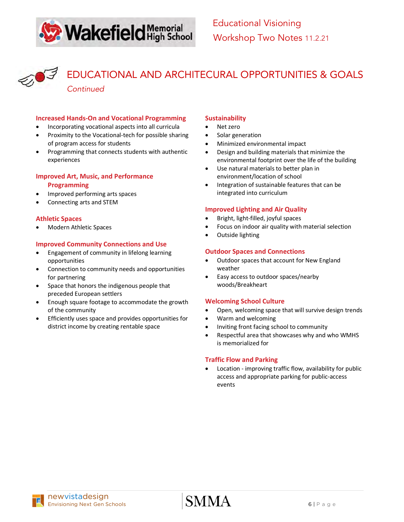



EDUCATIONAL AND ARCHITECURAL OPPORTUNITIES & GOALS *Continued*

#### **Increased Hands-On and Vocational Programming**

- Incorporating vocational aspects into all curricula
- Proximity to the Vocational-tech for possible sharing of program access for students
- Programming that connects students with authentic experiences

#### **Improved Art, Music, and Performance Programming**

- Improved performing arts spaces
- Connecting arts and STEM

#### **Athletic Spaces**

• Modern Athletic Spaces

#### **Improved Community Connections and Use**

- Engagement of community in lifelong learning opportunities
- Connection to community needs and opportunities for partnering
- Space that honors the indigenous people that preceded European settlers
- Enough square footage to accommodate the growth of the community
- Efficiently uses space and provides opportunities for district income by creating rentable space

#### **Sustainability**

- Net zero
- Solar generation
- Minimized environmental impact
- Design and building materials that minimize the environmental footprint over the life of the building
- Use natural materials to better plan in environment/location of school
- Integration of sustainable features that can be integrated into curriculum

#### **Improved Lighting and Air Quality**

- Bright, light-filled, joyful spaces
- Focus on indoor air quality with material selection
- Outside lighting

#### **Outdoor Spaces and Connections**

- Outdoor spaces that account for New England weather
- Easy access to outdoor spaces/nearby woods/Breakheart

#### **Welcoming School Culture**

- Open, welcoming space that will survive design trends
- Warm and welcoming
- Inviting front facing school to community
- Respectful area that showcases why and who WMHS is memorialized for

#### **Traffic Flow and Parking**

Location - improving traffic flow, availability for public access and appropriate parking for public-access events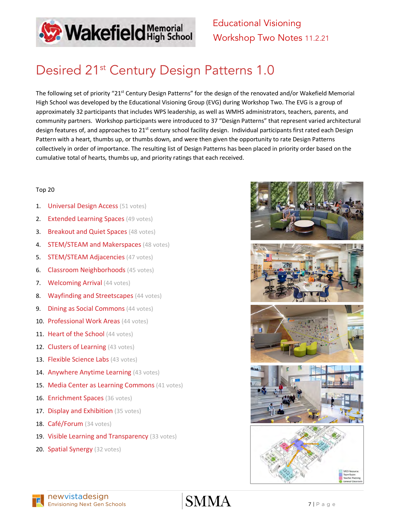

Educational Visioning Workshop Two Notes 11.2.21

# Desired 21<sup>st</sup> Century Design Patterns 1.0

The following set of priority "21<sup>st</sup> Century Design Patterns" for the design of the renovated and/or Wakefield Memorial High School was developed by the Educational Visioning Group (EVG) during Workshop Two. The EVG is a group of approximately 32 participants that includes WPS leadership, as well as WMHS administrators, teachers, parents, and community partners. Workshop participants were introduced to 37 "Design Patterns" that represent varied architectural design features of, and approaches to 21<sup>st</sup> century school facility design. Individual participants first rated each Design Pattern with a heart, thumbs up, or thumbs down, and were then given the opportunity to rate Design Patterns collectively in order of importance. The resulting list of Design Patterns has been placed in priority order based on the cumulative total of hearts, thumbs up, and priority ratings that each received.

#### Top 20

- 1. **Universal Design Access** (51 votes)
- 2. Extended Learning Spaces (49 votes)
- **3. Breakout and Quiet Spaces (48 votes)**
- **4. STEM/STEAM and Makerspaces (48 votes)**
- **5. STEM/STEAM Adjacencies** (47 votes)
- **6. Classroom Neighborhoods** (45 votes)
- 7. Welcoming Arrival (44 votes)
- 8. Wayfinding and Streetscapes (44 votes)
- **9. Dining as Social Commons** (44 votes)
- 10. Professional Work Areas (44 votes)
- 11. Heart of the School (44 votes)
- 12. Clusters of Learning (43 votes)
- 13. Flexible Science Labs (43 votes)
- 14. Anywhere Anytime Learning (43 votes)
- 15. Media Center as Learning Commons (41 votes)
- 16. Enrichment Spaces (36 votes)
- 17. Display and Exhibition (35 votes)
- 18. Café/Forum (34 votes)
- 19. Visible Learning and Transparency (33 votes)
- 20. Spatial Synergy (32 votes)